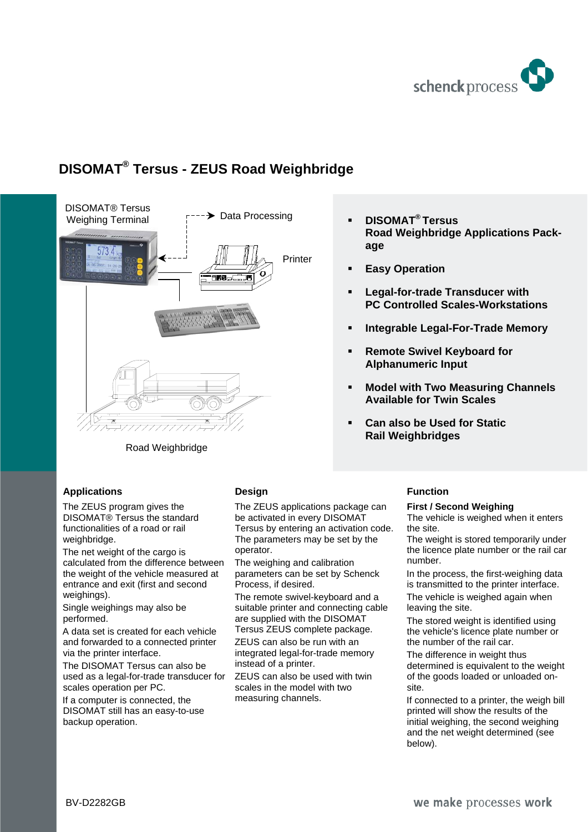

# **DISOMAT® Tersus - ZEUS Road Weighbridge**



Road Weighbridge

## **Applications**

The ZEUS program gives the DISOMAT® Tersus the standard functionalities of a road or rail weighbridge.

The net weight of the cargo is calculated from the difference between the weight of the vehicle measured at entrance and exit (first and second weighings).

Single weighings may also be performed.

A data set is created for each vehicle and forwarded to a connected printer via the printer interface.

The DISOMAT Tersus can also be used as a legal-for-trade transducer for scales operation per PC.

If a computer is connected, the DISOMAT still has an easy-to-use backup operation.

## **Design**

The ZEUS applications package can be activated in every DISOMAT Tersus by entering an activation code. The parameters may be set by the operator.

The weighing and calibration parameters can be set by Schenck Process, if desired.

The remote swivel-keyboard and a suitable printer and connecting cable are supplied with the DISOMAT Tersus ZEUS complete package.

ZEUS can also be run with an integrated legal-for-trade memory instead of a printer.

ZEUS can also be used with twin scales in the model with two measuring channels.

- **DISOMAT® Tersus Road Weighbridge Applications Package**
- **Easy Operation**
- **Legal-for-trade Transducer with PC Controlled Scales-Workstations**
- **Integrable Legal-For-Trade Memory**
- **Remote Swivel Keyboard for Alphanumeric Input**
- **Model with Two Measuring Channels Available for Twin Scales**
- **Can also be Used for Static Rail Weighbridges**

# **Function**

#### **First / Second Weighing**

The vehicle is weighed when it enters the site.

The weight is stored temporarily under the licence plate number or the rail car number.

In the process, the first-weighing data is transmitted to the printer interface.

The vehicle is weighed again when leaving the site.

The stored weight is identified using the vehicle's licence plate number or the number of the rail car.

The difference in weight thus determined is equivalent to the weight of the goods loaded or unloaded onsite.

If connected to a printer, the weigh bill printed will show the results of the initial weighing, the second weighing and the net weight determined (see below).